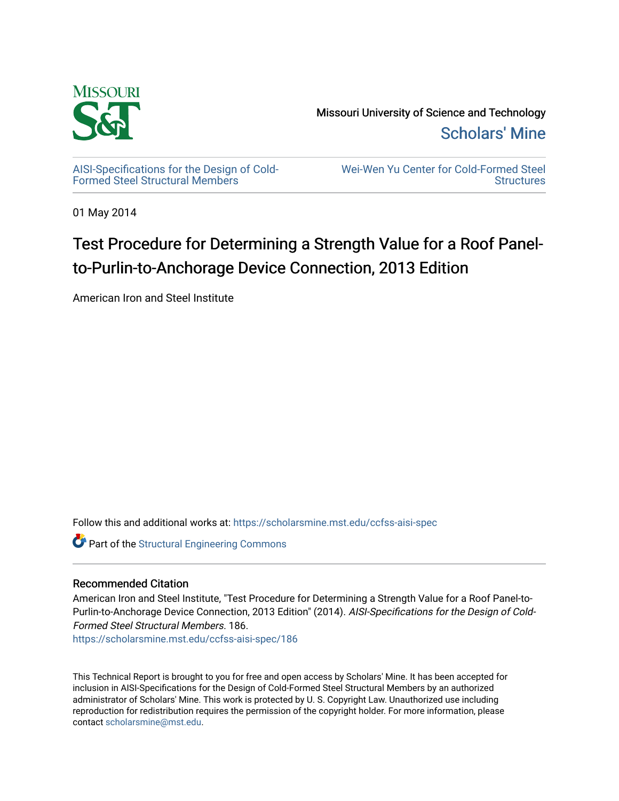

[AISI-Specifications for the Design of Cold-](https://scholarsmine.mst.edu/ccfss-aisi-spec)[Formed Steel Structural Members](https://scholarsmine.mst.edu/ccfss-aisi-spec)

[Wei-Wen Yu Center for Cold-Formed Steel](https://scholarsmine.mst.edu/ccfss)  **Structures** 

01 May 2014

# Test Procedure for Determining a Strength Value for a Roof Panelto-Purlin-to-Anchorage Device Connection, 2013 Edition

American Iron and Steel Institute

Follow this and additional works at: [https://scholarsmine.mst.edu/ccfss-aisi-spec](https://scholarsmine.mst.edu/ccfss-aisi-spec?utm_source=scholarsmine.mst.edu%2Fccfss-aisi-spec%2F186&utm_medium=PDF&utm_campaign=PDFCoverPages) 

**Part of the Structural Engineering Commons** 

#### Recommended Citation

American Iron and Steel Institute, "Test Procedure for Determining a Strength Value for a Roof Panel-to-Purlin-to-Anchorage Device Connection, 2013 Edition" (2014). AISI-Specifications for the Design of Cold-Formed Steel Structural Members. 186.

[https://scholarsmine.mst.edu/ccfss-aisi-spec/186](https://scholarsmine.mst.edu/ccfss-aisi-spec/186?utm_source=scholarsmine.mst.edu%2Fccfss-aisi-spec%2F186&utm_medium=PDF&utm_campaign=PDFCoverPages) 

This Technical Report is brought to you for free and open access by Scholars' Mine. It has been accepted for inclusion in AISI-Specifications for the Design of Cold-Formed Steel Structural Members by an authorized administrator of Scholars' Mine. This work is protected by U. S. Copyright Law. Unauthorized use including reproduction for redistribution requires the permission of the copyright holder. For more information, please contact [scholarsmine@mst.edu](mailto:scholarsmine@mst.edu).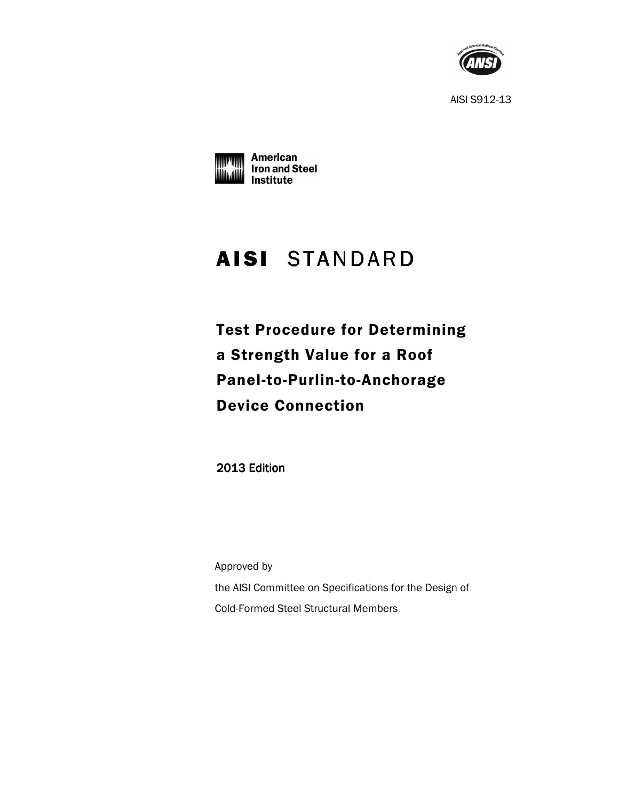

AISI S912-13



# AISI STANDARD

# Test Procedure for Determining a Strength Value for a Roof Panel-to-Purlin-to-Anchorage Device Connection

2013Edition

Approved by the AISI Committee on Specifications for the Design of Cold-Formed Steel Structural Members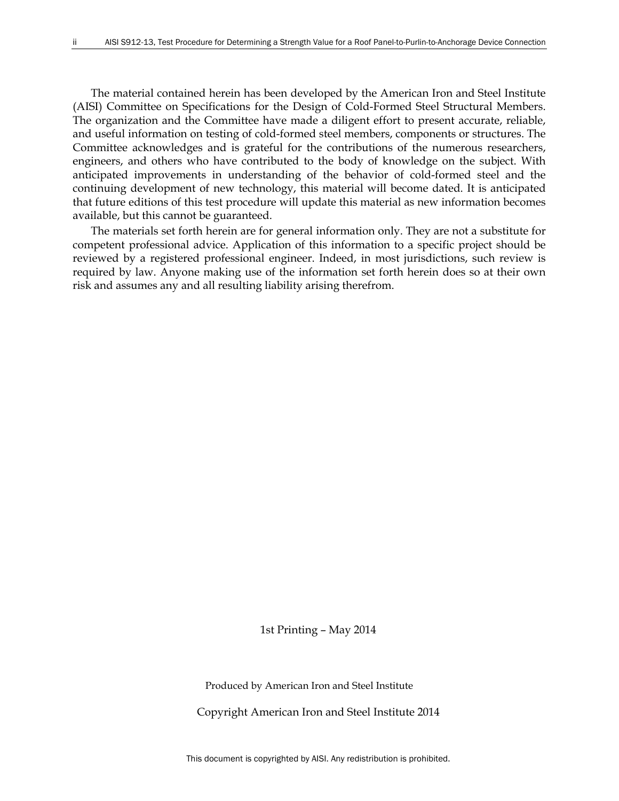The material contained herein has been developed by the American Iron and Steel Institute (AISI) Committee on Specifications for the Design of Cold-Formed Steel Structural Members. The organization and the Committee have made a diligent effort to present accurate, reliable, and useful information on testing of cold-formed steel members, components or structures. The Committee acknowledges and is grateful for the contributions of the numerous researchers, engineers, and others who have contributed to the body of knowledge on the subject. With anticipated improvements in understanding of the behavior of cold-formed steel and the continuing development of new technology, this material will become dated. It is anticipated that future editions of this test procedure will update this material as new information becomes available, but this cannot be guaranteed.

The materials set forth herein are for general information only. They are not a substitute for competent professional advice. Application of this information to a specific project should be reviewed by a registered professional engineer. Indeed, in most jurisdictions, such review is required by law. Anyone making use of the information set forth herein does so at their own risk and assumes any and all resulting liability arising therefrom.

1st Printing – May 2014

Produced by American Iron and Steel Institute

Copyright American Iron and Steel Institute 2014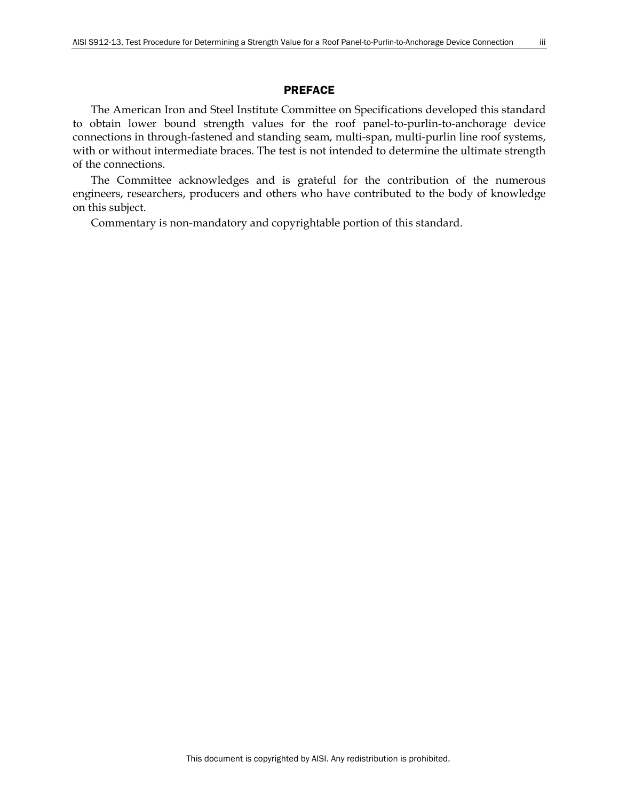#### PREFACE

The American Iron and Steel Institute Committee on Specifications developed this standard to obtain lower bound strength values for the roof panel-to-purlin-to-anchorage device connections in through-fastened and standing seam, multi-span, multi-purlin line roof systems, with or without intermediate braces. The test is not intended to determine the ultimate strength of the connections.

The Committee acknowledges and is grateful for the contribution of the numerous engineers, researchers, producers and others who have contributed to the body of knowledge on this subject.

Commentary is non-mandatory and copyrightable portion of this standard.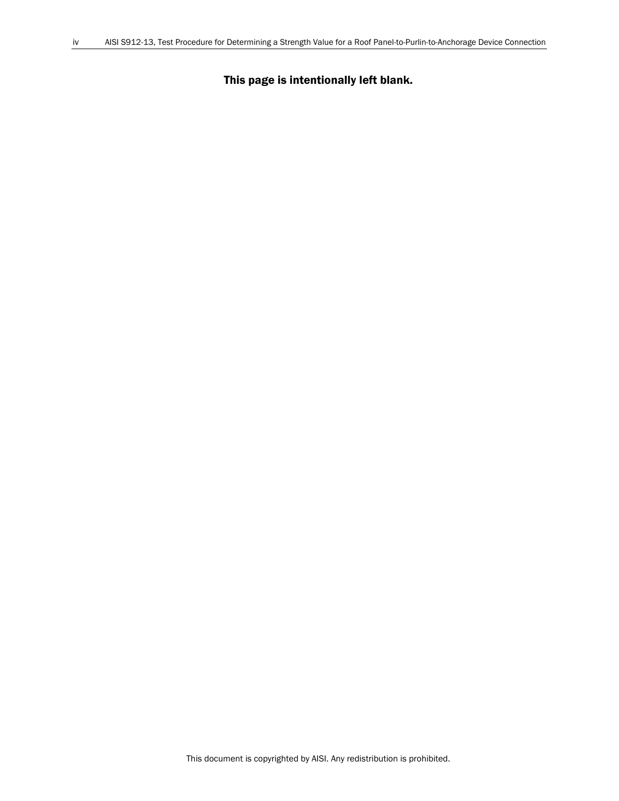This page is intentionally left blank.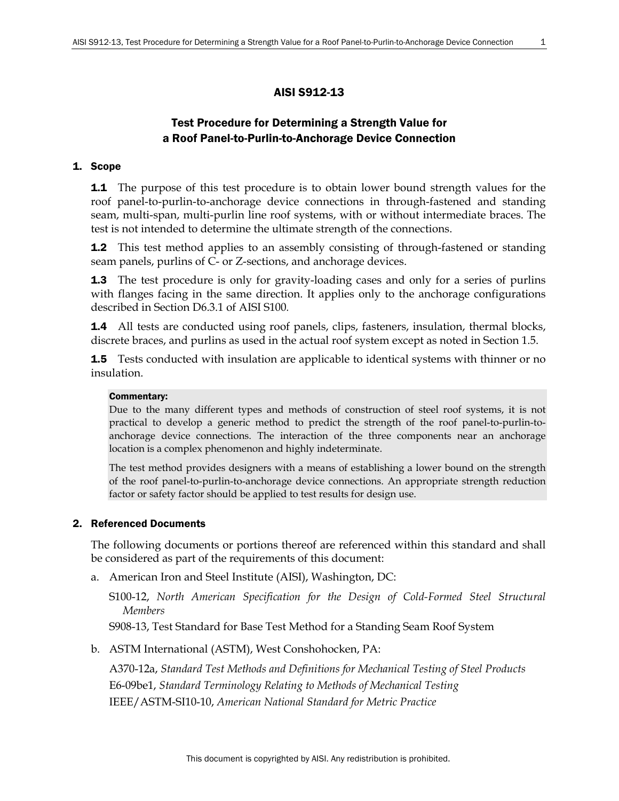### AISI S912-13

# Test Procedure for Determining a Strength Value for a Roof Panel-to-Purlin-to-Anchorage Device Connection

#### 1. Scope

**1.1** The purpose of this test procedure is to obtain lower bound strength values for the roof panel-to-purlin-to-anchorage device connections in through-fastened and standing seam, multi-span, multi-purlin line roof systems, with or without intermediate braces. The test is not intended to determine the ultimate strength of the connections.

**1.2** This test method applies to an assembly consisting of through-fastened or standing seam panels, purlins of C- or Z-sections, and anchorage devices.

**1.3** The test procedure is only for gravity-loading cases and only for a series of purlins with flanges facing in the same direction. It applies only to the anchorage configurations described in Section D6.3.1 of AISI S100*.*

**1.4** All tests are conducted using roof panels, clips, fasteners, insulation, thermal blocks, discrete braces, and purlins as used in the actual roof system except as noted in Section 1.5.

**1.5** Tests conducted with insulation are applicable to identical systems with thinner or no insulation.

#### Commentary:

Due to the many different types and methods of construction of steel roof systems, it is not practical to develop a generic method to predict the strength of the roof panel-to-purlin-toanchorage device connections. The interaction of the three components near an anchorage location is a complex phenomenon and highly indeterminate.

The test method provides designers with a means of establishing a lower bound on the strength of the roof panel-to-purlin-to-anchorage device connections. An appropriate strength reduction factor or safety factor should be applied to test results for design use.

#### 2. Referenced Documents

The following documents or portions thereof are referenced within this standard and shall be considered as part of the requirements of this document:

a. American Iron and Steel Institute (AISI), Washington, DC:

 S100-12, *North American Specification for the Design of Cold-Formed Steel Structural Members*

S908-13, Test Standard for Base Test Method for a Standing Seam Roof System

b. ASTM International (ASTM), West Conshohocken, PA:

 A370-12a, *Standard Test Methods and Definitions for Mechanical Testing of Steel Products* E6-09be1, *Standard Terminology Relating to Methods of Mechanical Testing* IEEE/ASTM-SI10-10, *American National Standard for Metric Practice*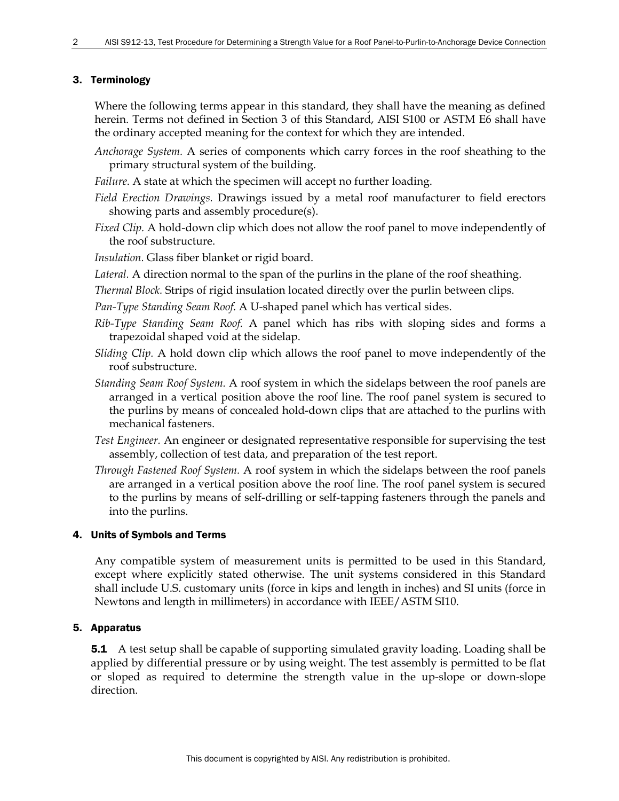#### 3. Terminology

Where the following terms appear in this standard, they shall have the meaning as defined herein. Terms not defined in Section 3 of this Standard, AISI S100 or ASTM E6 shall have the ordinary accepted meaning for the context for which they are intended.

*Anchorage System.* A series of components which carry forces in the roof sheathing to the primary structural system of the building.

*Failure*. A state at which the specimen will accept no further loading.

- *Field Erection Drawings.* Drawings issued by a metal roof manufacturer to field erectors showing parts and assembly procedure(s).
- *Fixed Clip.* A hold-down clip which does not allow the roof panel to move independently of the roof substructure.

*Insulation.* Glass fiber blanket or rigid board.

*Lateral.* A direction normal to the span of the purlins in the plane of the roof sheathing.

*Thermal Block.* Strips of rigid insulation located directly over the purlin between clips.

*Pan-Type Standing Seam Roof.* A U-shaped panel which has vertical sides.

- *Rib-Type Standing Seam Roof.* A panel which has ribs with sloping sides and forms a trapezoidal shaped void at the sidelap.
- *Sliding Clip.* A hold down clip which allows the roof panel to move independently of the roof substructure.
- *Standing Seam Roof System.* A roof system in which the sidelaps between the roof panels are arranged in a vertical position above the roof line. The roof panel system is secured to the purlins by means of concealed hold-down clips that are attached to the purlins with mechanical fasteners.
- *Test Engineer.* An engineer or designated representative responsible for supervising the test assembly, collection of test data, and preparation of the test report.
- *Through Fastened Roof System.* A roof system in which the sidelaps between the roof panels are arranged in a vertical position above the roof line. The roof panel system is secured to the purlins by means of self-drilling or self-tapping fasteners through the panels and into the purlins.

#### 4. Units of Symbols and Terms

Any compatible system of measurement units is permitted to be used in this Standard, except where explicitly stated otherwise. The unit systems considered in this Standard shall include U.S. customary units (force in kips and length in inches) and SI units (force in Newtons and length in millimeters) in accordance with IEEE/ASTM SI10.

#### 5. Apparatus

**5.1** A test setup shall be capable of supporting simulated gravity loading. Loading shall be applied by differential pressure or by using weight. The test assembly is permitted to be flat or sloped as required to determine the strength value in the up-slope or down-slope direction.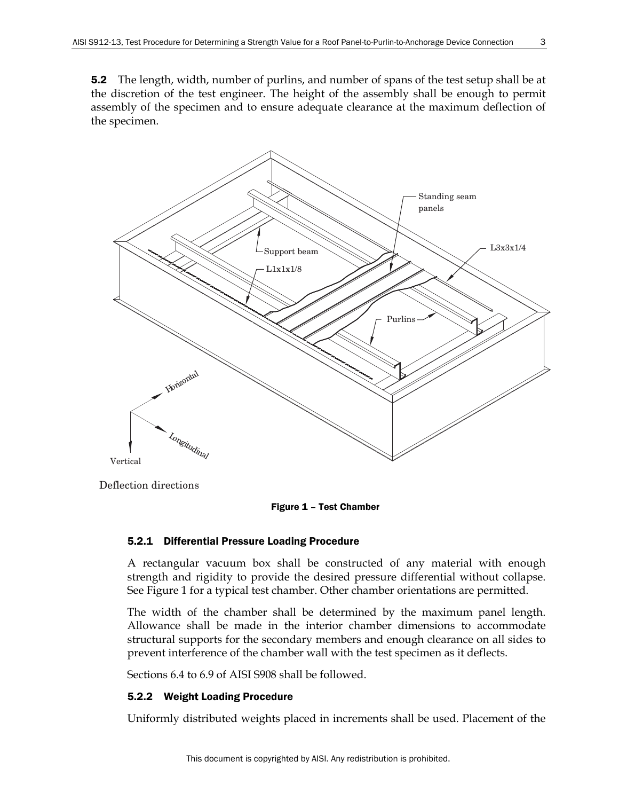**5.2** The length, width, number of purlins, and number of spans of the test setup shall be at the discretion of the test engineer. The height of the assembly shall be enough to permit assembly of the specimen and to ensure adequate clearance at the maximum deflection of the specimen.



Deflection directions

Figure 1 – Test Chamber

#### 5.2.1 Differential Pressure Loading Procedure

A rectangular vacuum box shall be constructed of any material with enough strength and rigidity to provide the desired pressure differential without collapse. See Figure 1 for a typical test chamber. Other chamber orientations are permitted.

The width of the chamber shall be determined by the maximum panel length. Allowance shall be made in the interior chamber dimensions to accommodate structural supports for the secondary members and enough clearance on all sides to prevent interference of the chamber wall with the test specimen as it deflects.

Sections 6.4 to 6.9 of AISI S908 shall be followed.

#### 5.2.2 Weight Loading Procedure

Uniformly distributed weights placed in increments shall be used. Placement of the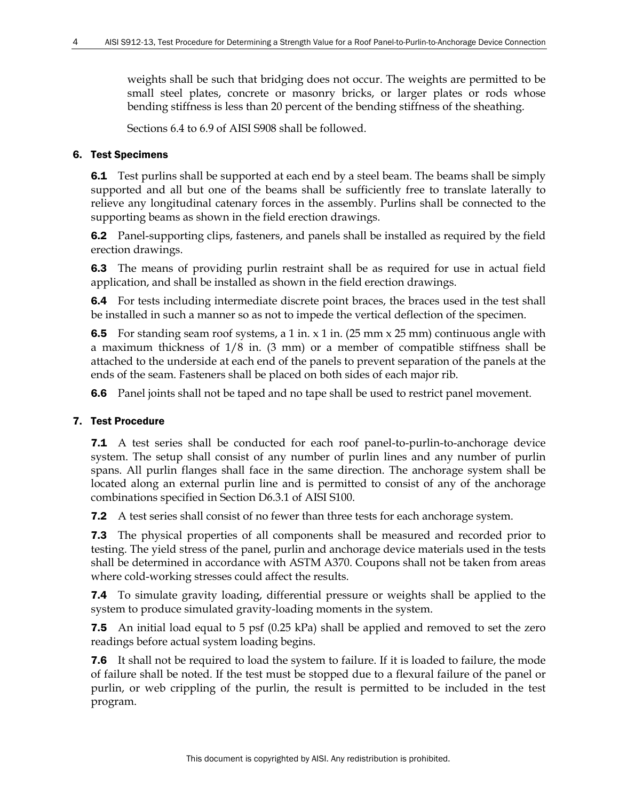weights shall be such that bridging does not occur. The weights are permitted to be small steel plates, concrete or masonry bricks, or larger plates or rods whose bending stiffness is less than 20 percent of the bending stiffness of the sheathing.

Sections 6.4 to 6.9 of AISI S908 shall be followed.

# 6. Test Specimens

**6.1** Test purlins shall be supported at each end by a steel beam. The beams shall be simply supported and all but one of the beams shall be sufficiently free to translate laterally to relieve any longitudinal catenary forces in the assembly. Purlins shall be connected to the supporting beams as shown in the field erection drawings.

**6.2** Panel-supporting clips, fasteners, and panels shall be installed as required by the field erection drawings.

6.3 The means of providing purlin restraint shall be as required for use in actual field application, and shall be installed as shown in the field erection drawings.

**6.4** For tests including intermediate discrete point braces, the braces used in the test shall be installed in such a manner so as not to impede the vertical deflection of the specimen.

**6.5** For standing seam roof systems, a 1 in.  $\times$  1 in. (25 mm  $\times$  25 mm) continuous angle with a maximum thickness of 1/8 in. (3 mm) or a member of compatible stiffness shall be attached to the underside at each end of the panels to prevent separation of the panels at the ends of the seam. Fasteners shall be placed on both sides of each major rib.

**6.6** Panel joints shall not be taped and no tape shall be used to restrict panel movement.

# 7. Test Procedure

**7.1** A test series shall be conducted for each roof panel-to-purlin-to-anchorage device system. The setup shall consist of any number of purlin lines and any number of purlin spans. All purlin flanges shall face in the same direction. The anchorage system shall be located along an external purlin line and is permitted to consist of any of the anchorage combinations specified in Section D6.3.1 of AISI S100.

**7.2** A test series shall consist of no fewer than three tests for each anchorage system.

**7.3** The physical properties of all components shall be measured and recorded prior to testing. The yield stress of the panel, purlin and anchorage device materials used in the tests shall be determined in accordance with ASTM A370. Coupons shall not be taken from areas where cold-working stresses could affect the results.

**7.4** To simulate gravity loading, differential pressure or weights shall be applied to the system to produce simulated gravity-loading moments in the system.

**7.5** An initial load equal to 5 psf (0.25 kPa) shall be applied and removed to set the zero readings before actual system loading begins.

**7.6** It shall not be required to load the system to failure. If it is loaded to failure, the mode of failure shall be noted. If the test must be stopped due to a flexural failure of the panel or purlin, or web crippling of the purlin, the result is permitted to be included in the test program.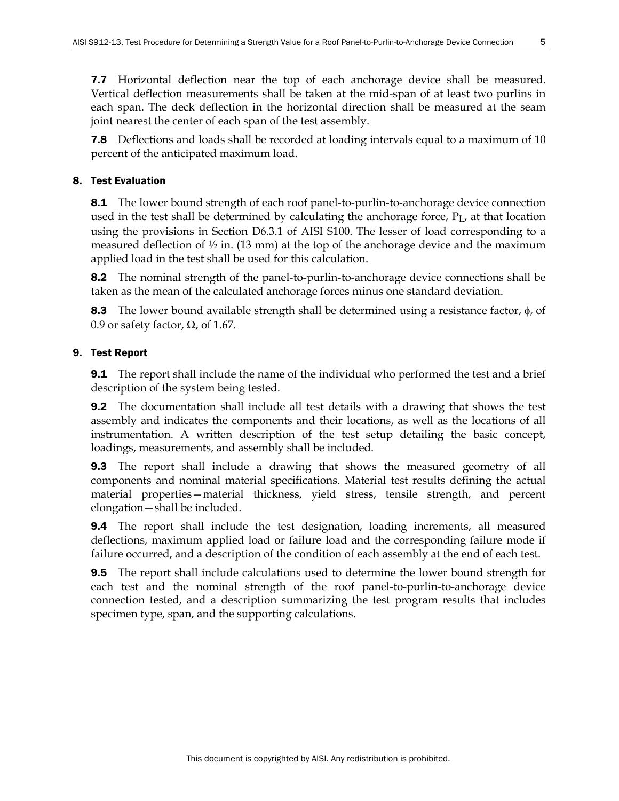**7.7** Horizontal deflection near the top of each anchorage device shall be measured. Vertical deflection measurements shall be taken at the mid-span of at least two purlins in each span. The deck deflection in the horizontal direction shall be measured at the seam joint nearest the center of each span of the test assembly.

**7.8** Deflections and loads shall be recorded at loading intervals equal to a maximum of 10 percent of the anticipated maximum load.

### 8. Test Evaluation

**8.1** The lower bound strength of each roof panel-to-purlin-to-anchorage device connection used in the test shall be determined by calculating the anchorage force,  $P_L$ , at that location using the provisions in Section D6.3.1 of AISI S100. The lesser of load corresponding to a measured deflection of  $\frac{1}{2}$  in. (13 mm) at the top of the anchorage device and the maximum applied load in the test shall be used for this calculation.

**8.2** The nominal strength of the panel-to-purlin-to-anchorage device connections shall be taken as the mean of the calculated anchorage forces minus one standard deviation.

**8.3** The lower bound available strength shall be determined using a resistance factor,  $\phi$ , of 0.9 or safety factor,  $\Omega$ , of 1.67.

### 9. Test Report

**9.1** The report shall include the name of the individual who performed the test and a brief description of the system being tested.

**9.2** The documentation shall include all test details with a drawing that shows the test assembly and indicates the components and their locations, as well as the locations of all instrumentation. A written description of the test setup detailing the basic concept, loadings, measurements, and assembly shall be included.

**9.3** The report shall include a drawing that shows the measured geometry of all components and nominal material specifications. Material test results defining the actual material properties—material thickness, yield stress, tensile strength, and percent elongation—shall be included.

9.4 The report shall include the test designation, loading increments, all measured deflections, maximum applied load or failure load and the corresponding failure mode if failure occurred, and a description of the condition of each assembly at the end of each test.

**9.5** The report shall include calculations used to determine the lower bound strength for each test and the nominal strength of the roof panel-to-purlin-to-anchorage device connection tested, and a description summarizing the test program results that includes specimen type, span, and the supporting calculations.